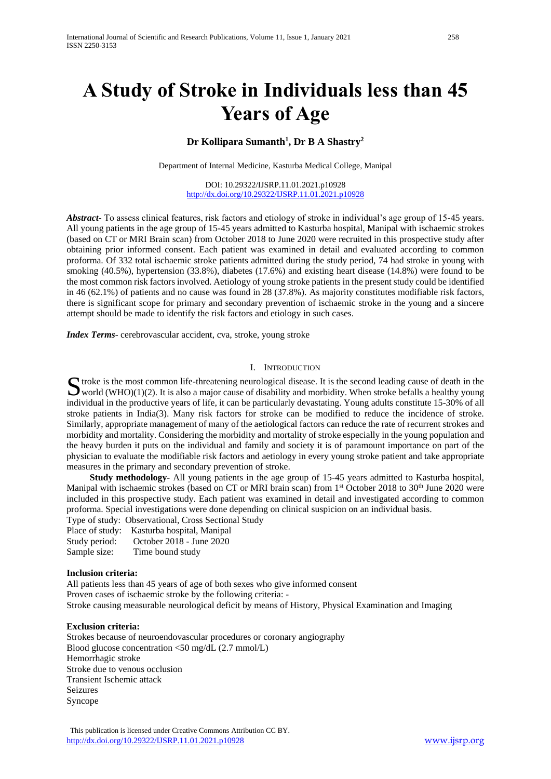# **A Study of Stroke in Individuals less than 45 Years of Age**

# **Dr Kollipara Sumanth<sup>1</sup> , Dr B A Shastry<sup>2</sup>**

Department of Internal Medicine, Kasturba Medical College, Manipal

DOI: 10.29322/IJSRP.11.01.2021.p10928 <http://dx.doi.org/10.29322/IJSRP.11.01.2021.p10928>

*Abstract***-** To assess clinical features, risk factors and etiology of stroke in individual's age group of 15-45 years. All young patients in the age group of 15-45 years admitted to Kasturba hospital, Manipal with ischaemic strokes (based on CT or MRI Brain scan) from October 2018 to June 2020 were recruited in this prospective study after obtaining prior informed consent. Each patient was examined in detail and evaluated according to common proforma. Of 332 total ischaemic stroke patients admitted during the study period, 74 had stroke in young with smoking (40.5%), hypertension (33.8%), diabetes (17.6%) and existing heart disease (14.8%) were found to be the most common risk factors involved. Aetiology of young stroke patients in the present study could be identified in 46 (62.1%) of patients and no cause was found in 28 (37.8%). As majority constitutes modifiable risk factors, there is significant scope for primary and secondary prevention of ischaemic stroke in the young and a sincere attempt should be made to identify the risk factors and etiology in such cases.

*Index Terms*- cerebrovascular accident, cva, stroke, young stroke

#### I. INTRODUCTION

troke is the most common life-threatening neurological disease. It is the second leading cause of death in the S troke is the most common life-threatening neurological disease. It is the second leading cause of death in the world  $(WHO)(1)(2)$ . It is also a major cause of disability and morbidity. When stroke befalls a healthy young individual in the productive years of life, it can be particularly devastating. Young adults constitute 15-30% of all stroke patients in India(3). Many risk factors for stroke can be modified to reduce the incidence of stroke. Similarly, appropriate management of many of the aetiological factors can reduce the rate of recurrent strokes and morbidity and mortality. Considering the morbidity and mortality of stroke especially in the young population and the heavy burden it puts on the individual and family and society it is of paramount importance on part of the physician to evaluate the modifiable risk factors and aetiology in every young stroke patient and take appropriate measures in the primary and secondary prevention of stroke.

 **Study methodology-** All young patients in the age group of 15-45 years admitted to Kasturba hospital, Manipal with ischaemic strokes (based on CT or MRI brain scan) from  $1<sup>st</sup>$  October 2018 to 30<sup>th</sup> June 2020 were included in this prospective study. Each patient was examined in detail and investigated according to common proforma. Special investigations were done depending on clinical suspicion on an individual basis.

Type of study: Observational, Cross Sectional Study Place of study: Kasturba hospital, Manipal Study period: October 2018 - June 2020

Sample size: Time bound study

# **Inclusion criteria:**

All patients less than 45 years of age of both sexes who give informed consent Proven cases of ischaemic stroke by the following criteria: - Stroke causing measurable neurological deficit by means of History, Physical Examination and Imaging

#### **Exclusion criteria:**

Strokes because of neuroendovascular procedures or coronary angiography Blood glucose concentration <50 mg/dL (2.7 mmol/L) Hemorrhagic stroke Stroke due to venous occlusion Transient Ischemic attack Seizures Syncope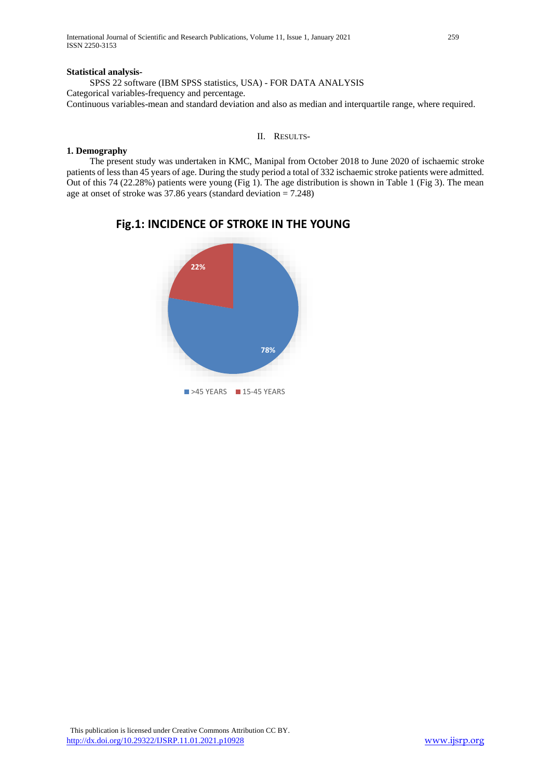#### **Statistical analysis-**

SPSS 22 software (IBM SPSS statistics, USA) - FOR DATA ANALYSIS Categorical variables-frequency and percentage. Continuous variables-mean and standard deviation and also as median and interquartile range, where required.

II. RESULTS-

# **1. Demography**

The present study was undertaken in KMC, Manipal from October 2018 to June 2020 of ischaemic stroke patients of less than 45 years of age. During the study period a total of 332 ischaemic stroke patients were admitted. Out of this 74 (22.28%) patients were young (Fig 1). The age distribution is shown in Table 1 (Fig 3). The mean age at onset of stroke was 37.86 years (standard deviation = 7.248)



# **Fig.1: INCIDENCE OF STROKE IN THE YOUNG**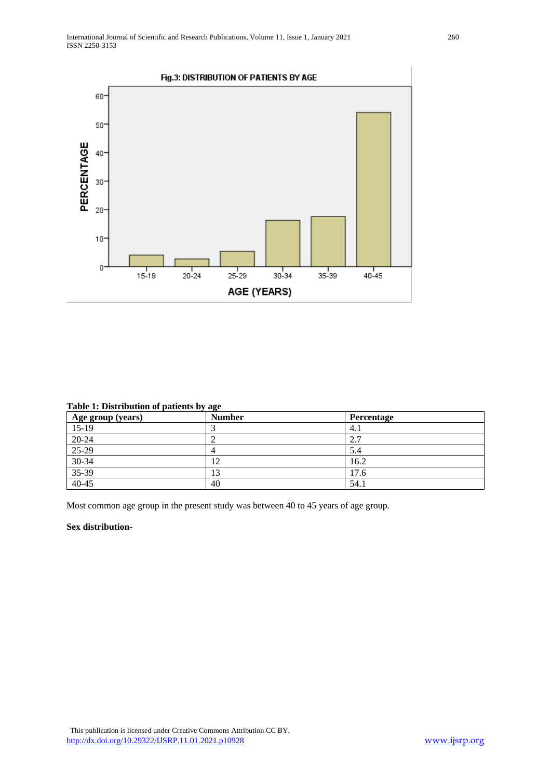

# **Table 1: Distribution of patients by age**

| Age group (years) | - -<br><b>Number</b> | Percentage |
|-------------------|----------------------|------------|
| $15-19$           |                      | 4.1        |
| $20-24$           |                      | 2.7        |
| $25-29$           |                      | 5.4        |
| $30-34$           | 12                   | 16.2       |
| $35-39$           | $\sqrt{2}$           | 17.6       |
| $40 - 45$         | 40                   | 54.1       |

Most common age group in the present study was between 40 to 45 years of age group.

#### **Sex distribution-**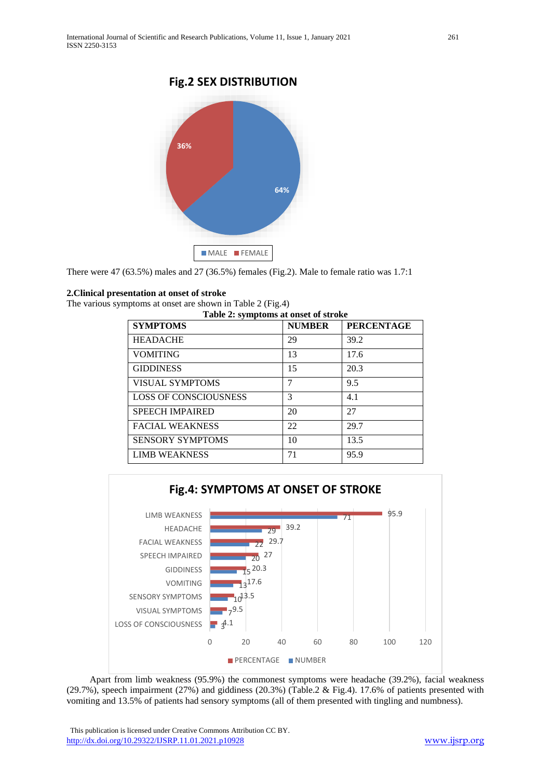# **Fig.2 SEX DISTRIBUTION**



There were 47 (63.5%) males and 27 (36.5%) females (Fig.2). Male to female ratio was 1.7:1

#### **2.Clinical presentation at onset of stroke**

The various symptoms at onset are shown in Table 2 (Fig.4)

| Table 2: symptoms at onset of stroke |               |                   |  |
|--------------------------------------|---------------|-------------------|--|
| <b>SYMPTOMS</b>                      | <b>NUMBER</b> | <b>PERCENTAGE</b> |  |
| <b>HEADACHE</b>                      | 29            | 39.2              |  |
| <b>VOMITING</b>                      | 13            | 17.6              |  |
| <b>GIDDINESS</b>                     | 15            | 20.3              |  |
| <b>VISUAL SYMPTOMS</b>               | 7             | 9.5               |  |
| <b>LOSS OF CONSCIOUSNESS</b>         | $\mathcal{R}$ | 4.1               |  |
| <b>SPEECH IMPAIRED</b>               | 20            | 27                |  |
| <b>FACIAL WEAKNESS</b>               | 22            | 29.7              |  |
| <b>SENSORY SYMPTOMS</b>              | 10            | 13.5              |  |
| <b>LIMB WEAKNESS</b>                 | 71            | 95.9              |  |



Apart from limb weakness (95.9%) the commonest symptoms were headache (39.2%), facial weakness (29.7%), speech impairment (27%) and giddiness (20.3%) (Table.2 & Fig.4). 17.6% of patients presented with vomiting and 13.5% of patients had sensory symptoms (all of them presented with tingling and numbness).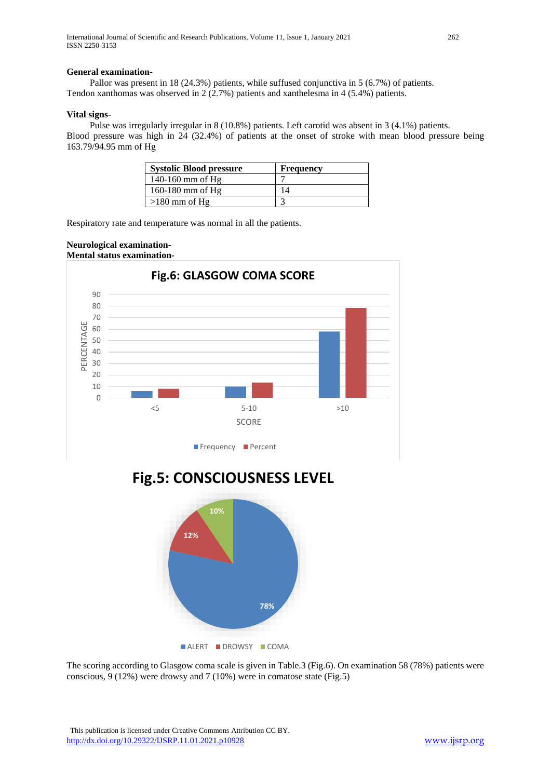#### **General examination-**

Pallor was present in 18 (24.3%) patients, while suffused conjunctiva in 5 (6.7%) of patients. Tendon xanthomas was observed in 2 (2.7%) patients and xanthelesma in 4 (5.4%) patients.

#### **Vital signs-**

Pulse was irregularly irregular in 8 (10.8%) patients. Left carotid was absent in 3 (4.1%) patients. Blood pressure was high in 24 (32.4%) of patients at the onset of stroke with mean blood pressure being 163.79/94.95 mm of Hg

| <b>Systolic Blood pressure</b> | <b>Frequency</b> |
|--------------------------------|------------------|
| $140-160$ mm of Hg             |                  |
| $160-180$ mm of Hg             |                  |
| $>180$ mm of Hg                |                  |

Respiratory rate and temperature was normal in all the patients.

#### **Neurological examination-Mental status examination-**







The scoring according to Glasgow coma scale is given in Table.3 (Fig.6). On examination 58 (78%) patients were conscious, 9 (12%) were drowsy and 7 (10%) were in comatose state (Fig.5)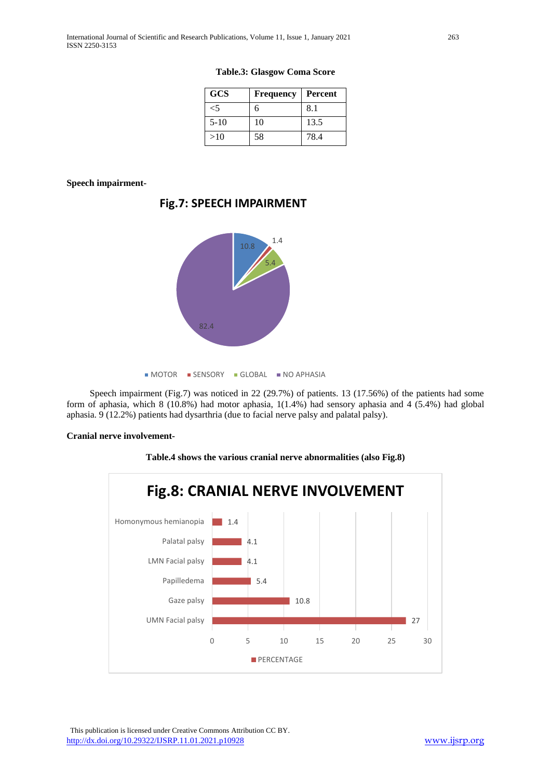| <b>GCS</b> | <b>Frequency</b> | Percent |
|------------|------------------|---------|
|            | h                | 8.1     |
| $5-10$     | 10               | 13.5    |
| >10        | 58               | 78.4    |

**Table.3: Glasgow Coma Score**

**Speech impairment-**



**Fig.7: SPEECH IMPAIRMENT**

**MOTOR SENSORY GLOBAL NO APHASIA** 

Speech impairment (Fig.7) was noticed in 22 (29.7%) of patients. 13 (17.56%) of the patients had some form of aphasia, which 8 (10.8%) had motor aphasia, 1(1.4%) had sensory aphasia and 4 (5.4%) had global aphasia. 9 (12.2%) patients had dysarthria (due to facial nerve palsy and palatal palsy).

#### **Cranial nerve involvement-**





 This publication is licensed under Creative Commons Attribution CC BY. <http://dx.doi.org/10.29322/IJSRP.11.01.2021.p10928> [www.ijsrp.org](http://ijsrp.org/)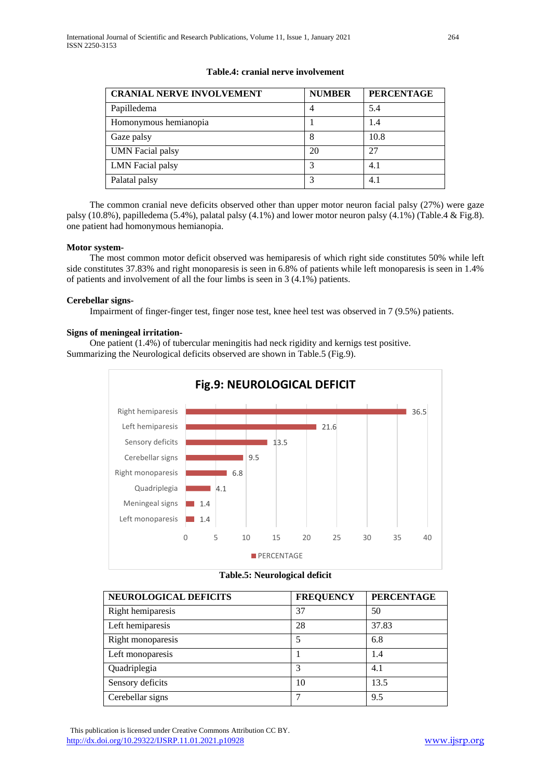| <b>CRANIAL NERVE INVOLVEMENT</b> | <b>NUMBER</b>  | <b>PERCENTAGE</b> |
|----------------------------------|----------------|-------------------|
| Papilledema                      | $\overline{4}$ | 5.4               |
| Homonymous hemianopia            |                | 1.4               |
| Gaze palsy                       | 8              | 10.8              |
| <b>UMN</b> Facial palsy          | 20             | 27                |
| <b>LMN</b> Facial palsy          |                | 4.1               |
| Palatal palsy                    |                | 4.1               |

# **Table.4: cranial nerve involvement**

The common cranial neve deficits observed other than upper motor neuron facial palsy (27%) were gaze palsy (10.8%), papilledema (5.4%), palatal palsy (4.1%) and lower motor neuron palsy (4.1%) (Table.4 & Fig.8). one patient had homonymous hemianopia.

#### **Motor system-**

The most common motor deficit observed was hemiparesis of which right side constitutes 50% while left side constitutes 37.83% and right monoparesis is seen in 6.8% of patients while left monoparesis is seen in 1.4% of patients and involvement of all the four limbs is seen in 3 (4.1%) patients.

#### **Cerebellar signs-**

Impairment of finger-finger test, finger nose test, knee heel test was observed in 7 (9.5%) patients.

#### **Signs of meningeal irritation-**

One patient (1.4%) of tubercular meningitis had neck rigidity and kernigs test positive. Summarizing the Neurological deficits observed are shown in Table.5 (Fig.9).





| NEUROLOGICAL DEFICITS | <b>FREQUENCY</b> | <b>PERCENTAGE</b> |
|-----------------------|------------------|-------------------|
| Right hemiparesis     | 37               | 50                |
| Left hemiparesis      | 28               | 37.83             |
| Right monoparesis     | 5                | 6.8               |
| Left monoparesis      |                  | 1.4               |
| Quadriplegia          | 3                | 4.1               |
| Sensory deficits      | 10               | 13.5              |
| Cerebellar signs      |                  | 9.5               |

 This publication is licensed under Creative Commons Attribution CC BY. <http://dx.doi.org/10.29322/IJSRP.11.01.2021.p10928> [www.ijsrp.org](http://ijsrp.org/)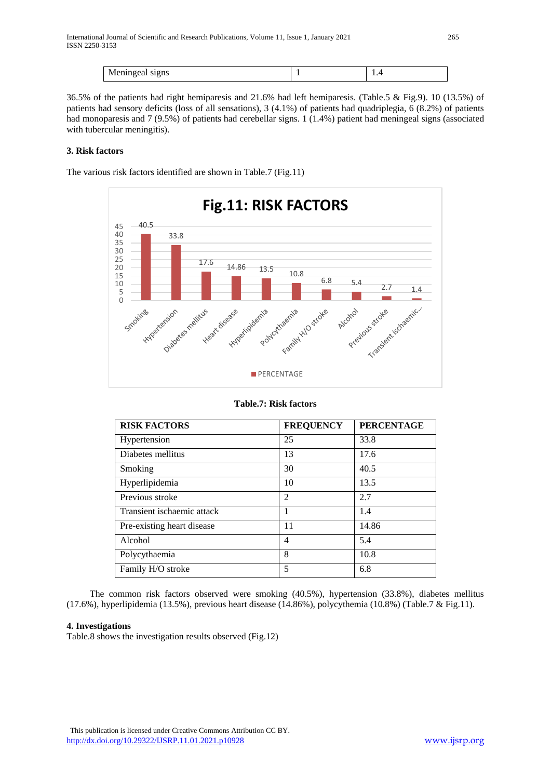| 11101111 | . . |
|----------|-----|

36.5% of the patients had right hemiparesis and 21.6% had left hemiparesis. (Table.5 & Fig.9). 10 (13.5%) of patients had sensory deficits (loss of all sensations), 3 (4.1%) of patients had quadriplegia, 6 (8.2%) of patients had monoparesis and 7 (9.5%) of patients had cerebellar signs. 1 (1.4%) patient had meningeal signs (associated with tubercular meningitis).

# **3. Risk factors**

The various risk factors identified are shown in Table.7 (Fig.11)



# **Table.7: Risk factors**

| <b>RISK FACTORS</b>        | <b>FREQUENCY</b> | <b>PERCENTAGE</b> |
|----------------------------|------------------|-------------------|
| Hypertension               | 25               | 33.8              |
| Diabetes mellitus          | 13               | 17.6              |
| Smoking                    | 30               | 40.5              |
| Hyperlipidemia             | 10               | 13.5              |
| Previous stroke            | $\overline{2}$   | 2.7               |
| Transient ischaemic attack |                  | 1.4               |
| Pre-existing heart disease | 11               | 14.86             |
| Alcohol                    | 4                | 5.4               |
| Polycythaemia              | 8                | 10.8              |
| Family H/O stroke          | 5                | 6.8               |

The common risk factors observed were smoking (40.5%), hypertension (33.8%), diabetes mellitus (17.6%), hyperlipidemia (13.5%), previous heart disease (14.86%), polycythemia (10.8%) (Table.7 & Fig.11).

# **4. Investigations**

Table.8 shows the investigation results observed (Fig.12)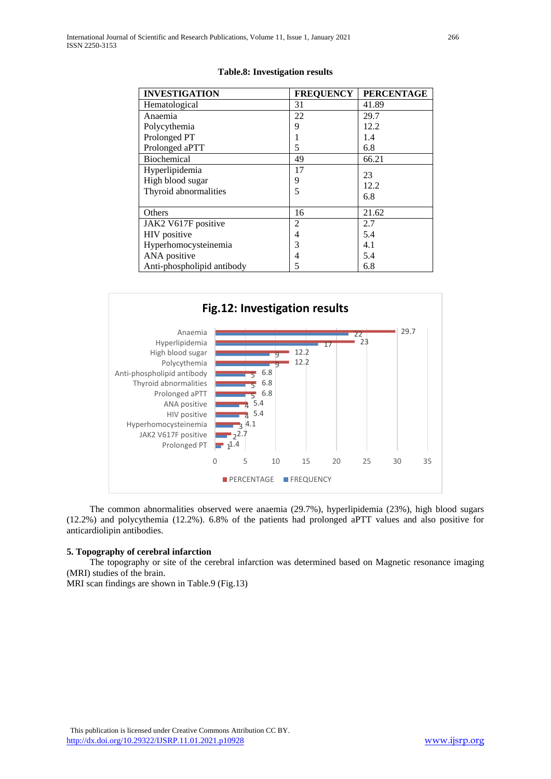| <b>INVESTIGATION</b>       | <b>FREQUENCY</b> | <b>PERCENTAGE</b> |
|----------------------------|------------------|-------------------|
| Hematological              | 31               | 41.89             |
| Anaemia                    | 22               | 29.7              |
| Polycythemia               | 9                | 12.2              |
| Prolonged PT               |                  | 1.4               |
| Prolonged aPTT             | 5                | 6.8               |
| <b>Biochemical</b>         | 49               | 66.21             |
| Hyperlipidemia             | 17               | 23                |
| High blood sugar           | 9                | 12.2              |
| Thyroid abnormalities      | 5                | 6.8               |
|                            |                  |                   |
| Others                     | 16               | 21.62             |
| JAK2 V617F positive        | 2                | 2.7               |
| <b>HIV</b> positive        | 4                | 5.4               |
| Hyperhomocysteinemia       | 3                | 4.1               |
| ANA positive               | 4                | 5.4               |
| Anti-phospholipid antibody | 5                | 6.8               |

#### **Table.8: Investigation results**



The common abnormalities observed were anaemia (29.7%), hyperlipidemia (23%), high blood sugars (12.2%) and polycythemia (12.2%). 6.8% of the patients had prolonged aPTT values and also positive for anticardiolipin antibodies.

#### **5. Topography of cerebral infarction**

The topography or site of the cerebral infarction was determined based on Magnetic resonance imaging (MRI) studies of the brain.

MRI scan findings are shown in Table.9 (Fig.13)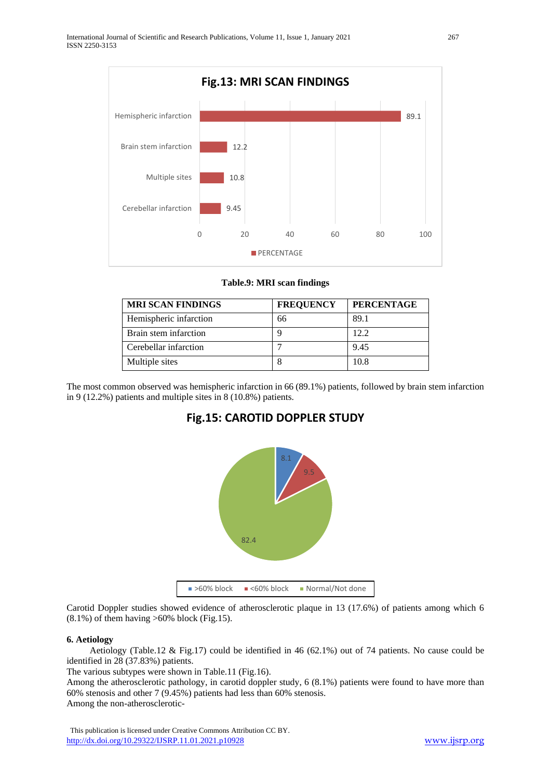

**Table.9: MRI scan findings**

| <b>MRI SCAN FINDINGS</b> | <b>FREQUENCY</b> | <b>PERCENTAGE</b> |
|--------------------------|------------------|-------------------|
| Hemispheric infarction   | 66               | 89.1              |
| Brain stem infarction    |                  | 12.2              |
| Cerebellar infarction    |                  | 9.45              |
| Multiple sites           | 8                | 10.8              |

The most common observed was hemispheric infarction in 66 (89.1%) patients, followed by brain stem infarction in 9 (12.2%) patients and multiple sites in 8 (10.8%) patients.





Carotid Doppler studies showed evidence of atherosclerotic plaque in 13 (17.6%) of patients among which 6  $(8.1\%)$  of them having >60% block (Fig.15).

# **6. Aetiology**

Aetiology (Table.12 & Fig.17) could be identified in 46 (62.1%) out of 74 patients. No cause could be identified in 28 (37.83%) patients.

The various subtypes were shown in Table.11 (Fig.16).

Among the atherosclerotic pathology, in carotid doppler study, 6 (8.1%) patients were found to have more than 60% stenosis and other 7 (9.45%) patients had less than 60% stenosis.

Among the non-atherosclerotic-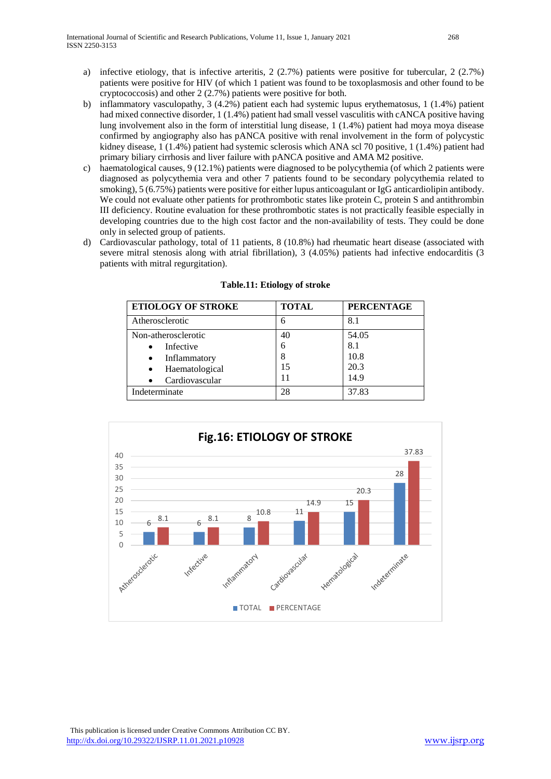- a) infective etiology, that is infective arteritis, 2 (2.7%) patients were positive for tubercular, 2 (2.7%) patients were positive for HIV (of which 1 patient was found to be toxoplasmosis and other found to be cryptococcosis) and other 2 (2.7%) patients were positive for both.
- b) inflammatory vasculopathy, 3 (4.2%) patient each had systemic lupus erythematosus, 1 (1.4%) patient had mixed connective disorder, 1 (1.4%) patient had small vessel vasculitis with cANCA positive having lung involvement also in the form of interstitial lung disease, 1 (1.4%) patient had moya moya disease confirmed by angiography also has pANCA positive with renal involvement in the form of polycystic kidney disease, 1 (1.4%) patient had systemic sclerosis which ANA scl 70 positive, 1 (1.4%) patient had primary biliary cirrhosis and liver failure with pANCA positive and AMA M2 positive.
- c) haematological causes, 9 (12.1%) patients were diagnosed to be polycythemia (of which 2 patients were diagnosed as polycythemia vera and other 7 patients found to be secondary polycythemia related to smoking), 5 (6.75%) patients were positive for either lupus anticoagulant or IgG anticardiolipin antibody. We could not evaluate other patients for prothrombotic states like protein C, protein S and antithrombin III deficiency. Routine evaluation for these prothrombotic states is not practically feasible especially in developing countries due to the high cost factor and the non-availability of tests. They could be done only in selected group of patients.
- d) Cardiovascular pathology, total of 11 patients, 8 (10.8%) had rheumatic heart disease (associated with severe mitral stenosis along with atrial fibrillation), 3 (4.05%) patients had infective endocarditis (3 patients with mitral regurgitation).

| <b>ETIOLOGY OF STROKE</b> | <b>TOTAL</b> | <b>PERCENTAGE</b> |
|---------------------------|--------------|-------------------|
| Atherosclerotic           | 6            | 8.1               |
| Non-atherosclerotic       | 40           | 54.05             |
| Infective                 |              | 8.1               |
| Inflammatory              |              | 10.8              |
| Haematological            | 15           | 20.3              |
| Cardiovascular            | 11           | 14.9              |
| Indeterminate             | 28           | 37.83             |

# **Table.11: Etiology of stroke**

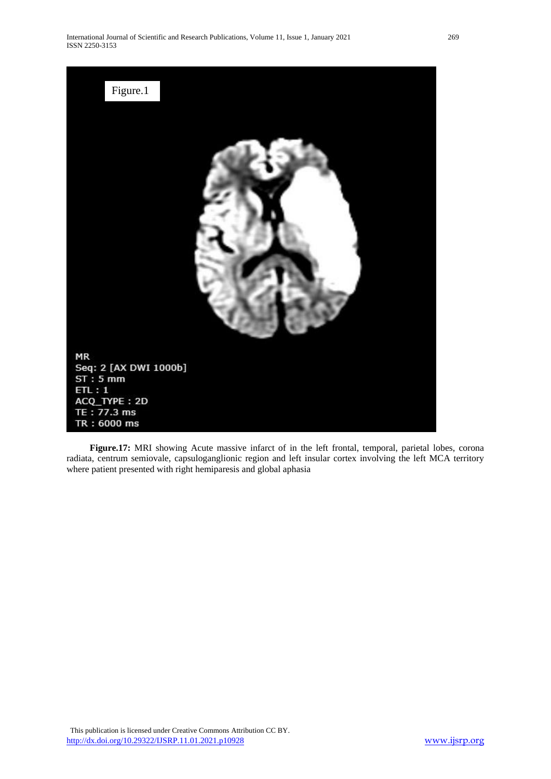

 **Figure.17:** MRI showing Acute massive infarct of in the left frontal, temporal, parietal lobes, corona radiata, centrum semiovale, capsuloganglionic region and left insular cortex involving the left MCA territory where patient presented with right hemiparesis and global aphasia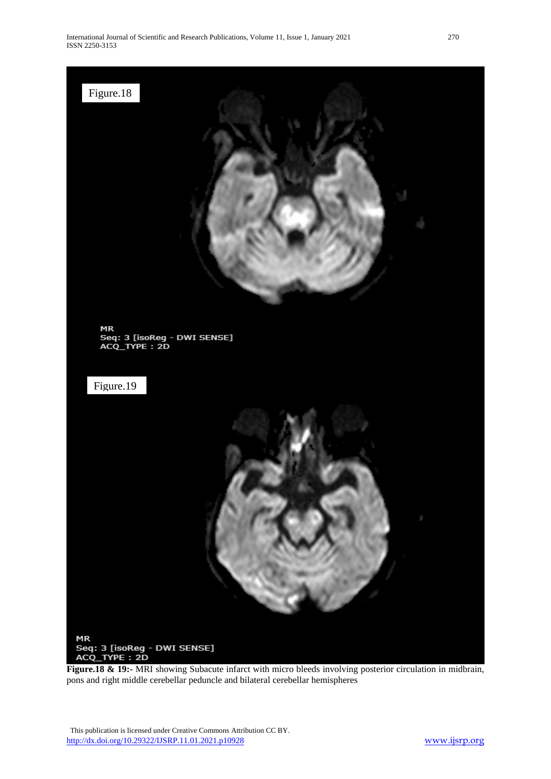

**Figure.18 & 19:-** MRI showing Subacute infarct with micro bleeds involving posterior circulation in midbrain, pons and right middle cerebellar peduncle and bilateral cerebellar hemispheres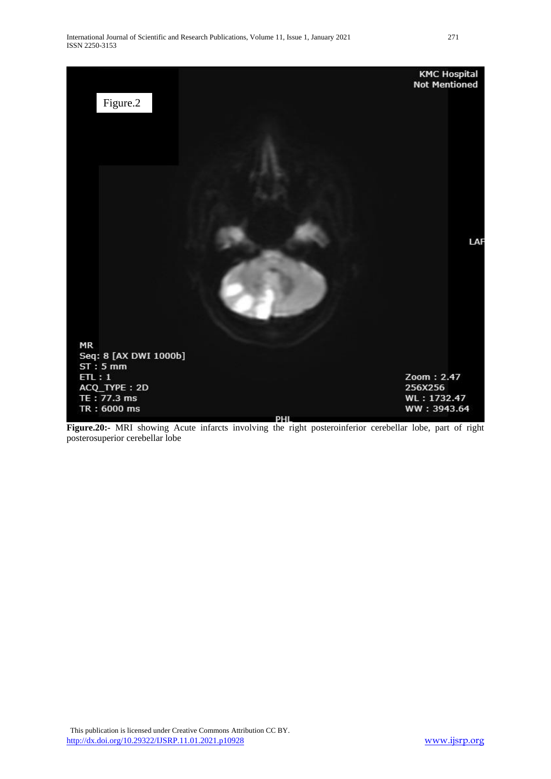

**Figure.20:-** MRI showing Acute infarcts involving the right posteroinferior cerebellar lobe, part of right posterosuperior cerebellar lobe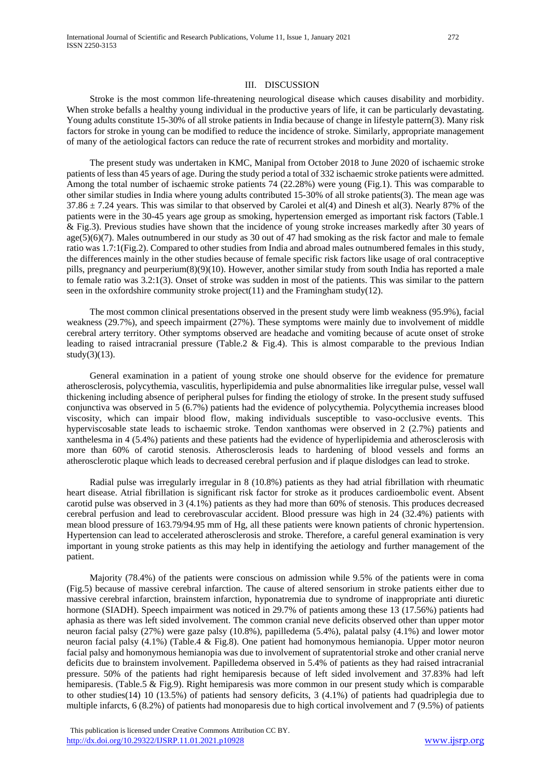#### III. DISCUSSION

Stroke is the most common life-threatening neurological disease which causes disability and morbidity. When stroke befalls a healthy young individual in the productive years of life, it can be particularly devastating. Young adults constitute 15-30% of all stroke patients in India because of change in lifestyle pattern(3). Many risk factors for stroke in young can be modified to reduce the incidence of stroke. Similarly, appropriate management of many of the aetiological factors can reduce the rate of recurrent strokes and morbidity and mortality.

The present study was undertaken in KMC, Manipal from October 2018 to June 2020 of ischaemic stroke patients of less than 45 years of age. During the study period a total of 332 ischaemic stroke patients were admitted. Among the total number of ischaemic stroke patients 74 (22.28%) were young (Fig.1). This was comparable to other similar studies in India where young adults contributed 15-30% of all stroke patients(3). The mean age was  $37.86 \pm 7.24$  years. This was similar to that observed by Carolei et al(4) and Dinesh et al(3). Nearly 87% of the patients were in the 30-45 years age group as smoking, hypertension emerged as important risk factors (Table.1 & Fig.3). Previous studies have shown that the incidence of young stroke increases markedly after 30 years of age(5)(6)(7). Males outnumbered in our study as 30 out of 47 had smoking as the risk factor and male to female ratio was 1.7:1(Fig.2). Compared to other studies from India and abroad males outnumbered females in this study, the differences mainly in the other studies because of female specific risk factors like usage of oral contraceptive pills, pregnancy and peurperium(8)(9)(10). However, another similar study from south India has reported a male to female ratio was 3.2:1(3). Onset of stroke was sudden in most of the patients. This was similar to the pattern seen in the oxfordshire community stroke project(11) and the Framingham study(12).

The most common clinical presentations observed in the present study were limb weakness (95.9%), facial weakness (29.7%), and speech impairment (27%). These symptoms were mainly due to involvement of middle cerebral artery territory. Other symptoms observed are headache and vomiting because of acute onset of stroke leading to raised intracranial pressure (Table.2  $\&$  Fig.4). This is almost comparable to the previous Indian study $(3)(13)$ .

General examination in a patient of young stroke one should observe for the evidence for premature atherosclerosis, polycythemia, vasculitis, hyperlipidemia and pulse abnormalities like irregular pulse, vessel wall thickening including absence of peripheral pulses for finding the etiology of stroke. In the present study suffused conjunctiva was observed in 5 (6.7%) patients had the evidence of polycythemia. Polycythemia increases blood viscosity, which can impair blood flow, making individuals susceptible to vaso-occlusive events. This hyperviscosable state leads to ischaemic stroke. Tendon xanthomas were observed in 2 (2.7%) patients and xanthelesma in 4 (5.4%) patients and these patients had the evidence of hyperlipidemia and atherosclerosis with more than 60% of carotid stenosis. Atherosclerosis leads to hardening of blood vessels and forms an atherosclerotic plaque which leads to decreased cerebral perfusion and if plaque dislodges can lead to stroke.

Radial pulse was irregularly irregular in 8 (10.8%) patients as they had atrial fibrillation with rheumatic heart disease. Atrial fibrillation is significant risk factor for stroke as it produces cardioembolic event. Absent carotid pulse was observed in 3 (4.1%) patients as they had more than 60% of stenosis. This produces decreased cerebral perfusion and lead to cerebrovascular accident. Blood pressure was high in 24 (32.4%) patients with mean blood pressure of 163.79/94.95 mm of Hg, all these patients were known patients of chronic hypertension. Hypertension can lead to accelerated atherosclerosis and stroke. Therefore, a careful general examination is very important in young stroke patients as this may help in identifying the aetiology and further management of the patient.

Majority (78.4%) of the patients were conscious on admission while 9.5% of the patients were in coma (Fig.5) because of massive cerebral infarction. The cause of altered sensorium in stroke patients either due to massive cerebral infarction, brainstem infarction, hyponatremia due to syndrome of inappropriate anti diuretic hormone (SIADH). Speech impairment was noticed in 29.7% of patients among these 13 (17.56%) patients had aphasia as there was left sided involvement. The common cranial neve deficits observed other than upper motor neuron facial palsy (27%) were gaze palsy (10.8%), papilledema (5.4%), palatal palsy (4.1%) and lower motor neuron facial palsy (4.1%) (Table.4 & Fig.8). One patient had homonymous hemianopia. Upper motor neuron facial palsy and homonymous hemianopia was due to involvement of supratentorial stroke and other cranial nerve deficits due to brainstem involvement. Papilledema observed in 5.4% of patients as they had raised intracranial pressure. 50% of the patients had right hemiparesis because of left sided involvement and 37.83% had left hemiparesis. (Table.5 & Fig.9). Right hemiparesis was more common in our present study which is comparable to other studies(14) 10 (13.5%) of patients had sensory deficits, 3 (4.1%) of patients had quadriplegia due to multiple infarcts, 6 (8.2%) of patients had monoparesis due to high cortical involvement and 7 (9.5%) of patients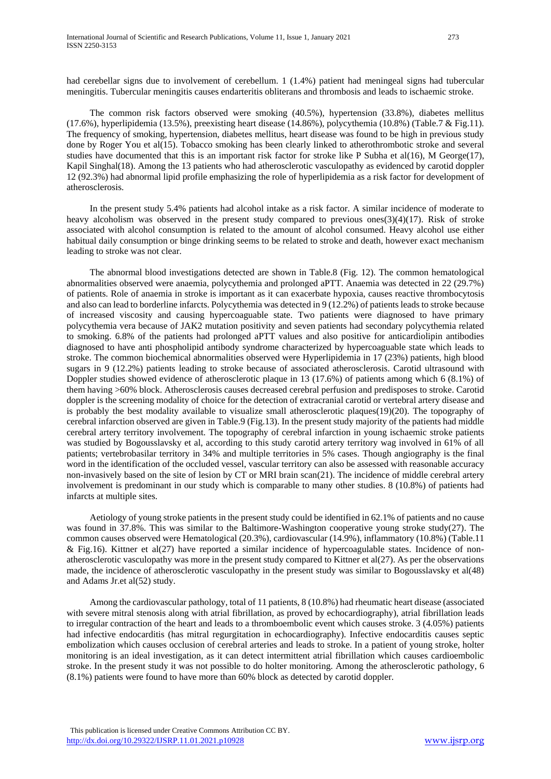had cerebellar signs due to involvement of cerebellum. 1 (1.4%) patient had meningeal signs had tubercular meningitis. Tubercular meningitis causes endarteritis obliterans and thrombosis and leads to ischaemic stroke.

The common risk factors observed were smoking (40.5%), hypertension (33.8%), diabetes mellitus (17.6%), hyperlipidemia (13.5%), preexisting heart disease (14.86%), polycythemia (10.8%) (Table.7 & Fig.11). The frequency of smoking, hypertension, diabetes mellitus, heart disease was found to be high in previous study done by Roger You et al(15). Tobacco smoking has been clearly linked to atherothrombotic stroke and several studies have documented that this is an important risk factor for stroke like P Subha et al(16), M George(17), Kapil Singhal(18). Among the 13 patients who had atherosclerotic vasculopathy as evidenced by carotid doppler 12 (92.3%) had abnormal lipid profile emphasizing the role of hyperlipidemia as a risk factor for development of atherosclerosis.

In the present study 5.4% patients had alcohol intake as a risk factor. A similar incidence of moderate to heavy alcoholism was observed in the present study compared to previous ones $(3)(4)(17)$ . Risk of stroke associated with alcohol consumption is related to the amount of alcohol consumed. Heavy alcohol use either habitual daily consumption or binge drinking seems to be related to stroke and death, however exact mechanism leading to stroke was not clear.

The abnormal blood investigations detected are shown in Table.8 (Fig. 12). The common hematological abnormalities observed were anaemia, polycythemia and prolonged aPTT. Anaemia was detected in 22 (29.7%) of patients. Role of anaemia in stroke is important as it can exacerbate hypoxia, causes reactive thrombocytosis and also can lead to borderline infarcts. Polycythemia was detected in 9 (12.2%) of patients leads to stroke because of increased viscosity and causing hypercoaguable state. Two patients were diagnosed to have primary polycythemia vera because of JAK2 mutation positivity and seven patients had secondary polycythemia related to smoking. 6.8% of the patients had prolonged aPTT values and also positive for anticardiolipin antibodies diagnosed to have anti phospholipid antibody syndrome characterized by hypercoaguable state which leads to stroke. The common biochemical abnormalities observed were Hyperlipidemia in 17 (23%) patients, high blood sugars in 9 (12.2%) patients leading to stroke because of associated atherosclerosis. Carotid ultrasound with Doppler studies showed evidence of atherosclerotic plaque in 13 (17.6%) of patients among which 6 (8.1%) of them having >60% block. Atherosclerosis causes decreased cerebral perfusion and predisposes to stroke. Carotid doppler is the screening modality of choice for the detection of extracranial carotid or vertebral artery disease and is probably the best modality available to visualize small atherosclerotic plaques(19)(20). The topography of cerebral infarction observed are given in Table.9 (Fig.13). In the present study majority of the patients had middle cerebral artery territory involvement. The topography of cerebral infarction in young ischaemic stroke patients was studied by Bogousslavsky et al, according to this study carotid artery territory wag involved in 61% of all patients; vertebrobasilar territory in 34% and multiple territories in 5% cases. Though angiography is the final word in the identification of the occluded vessel, vascular territory can also be assessed with reasonable accuracy non-invasively based on the site of lesion by CT or MRI brain scan(21). The incidence of middle cerebral artery involvement is predominant in our study which is comparable to many other studies. 8 (10.8%) of patients had infarcts at multiple sites.

Aetiology of young stroke patients in the present study could be identified in 62.1% of patients and no cause was found in 37.8%. This was similar to the Baltimore-Washington cooperative young stroke study(27). The common causes observed were Hematological (20.3%), cardiovascular (14.9%), inflammatory (10.8%) (Table.11 & Fig.16). Kittner et al(27) have reported a similar incidence of hypercoagulable states. Incidence of nonatherosclerotic vasculopathy was more in the present study compared to Kittner et al(27). As per the observations made, the incidence of atherosclerotic vasculopathy in the present study was similar to Bogousslavsky et al(48) and Adams Jr.et al(52) study.

Among the cardiovascular pathology, total of 11 patients, 8 (10.8%) had rheumatic heart disease (associated with severe mitral stenosis along with atrial fibrillation, as proved by echocardiography), atrial fibrillation leads to irregular contraction of the heart and leads to a thromboembolic event which causes stroke. 3 (4.05%) patients had infective endocarditis (has mitral regurgitation in echocardiography). Infective endocarditis causes septic embolization which causes occlusion of cerebral arteries and leads to stroke. In a patient of young stroke, holter monitoring is an ideal investigation, as it can detect intermittent atrial fibrillation which causes cardioembolic stroke. In the present study it was not possible to do holter monitoring. Among the atherosclerotic pathology, 6 (8.1%) patients were found to have more than 60% block as detected by carotid doppler.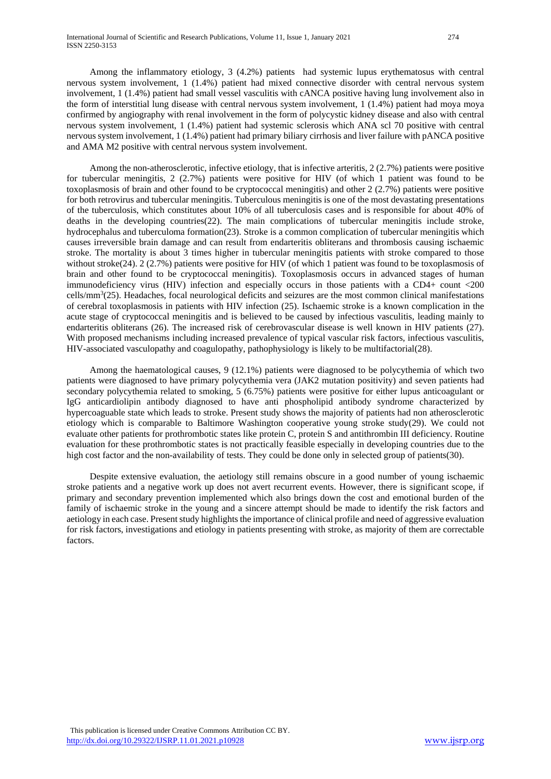Among the inflammatory etiology, 3 (4.2%) patients had systemic lupus erythematosus with central nervous system involvement, 1 (1.4%) patient had mixed connective disorder with central nervous system involvement, 1 (1.4%) patient had small vessel vasculitis with cANCA positive having lung involvement also in the form of interstitial lung disease with central nervous system involvement, 1 (1.4%) patient had moya moya confirmed by angiography with renal involvement in the form of polycystic kidney disease and also with central nervous system involvement, 1 (1.4%) patient had systemic sclerosis which ANA scl 70 positive with central nervous system involvement, 1 (1.4%) patient had primary biliary cirrhosis and liver failure with pANCA positive and AMA M2 positive with central nervous system involvement.

Among the non-atherosclerotic, infective etiology, that is infective arteritis, 2 (2.7%) patients were positive for tubercular meningitis, 2 (2.7%) patients were positive for HIV (of which 1 patient was found to be toxoplasmosis of brain and other found to be cryptococcal meningitis) and other 2 (2.7%) patients were positive for both retrovirus and tubercular meningitis. Tuberculous meningitis is one of the most devastating presentations of the tuberculosis, which constitutes about 10% of all tuberculosis cases and is responsible for about 40% of deaths in the developing countries(22). The main complications of tubercular meningitis include stroke, hydrocephalus and tuberculoma formation(23). Stroke is a common complication of tubercular meningitis which causes irreversible brain damage and can result from endarteritis obliterans and thrombosis causing ischaemic stroke. The mortality is about 3 times higher in tubercular meningitis patients with stroke compared to those without stroke(24). 2 (2.7%) patients were positive for HIV (of which 1 patient was found to be toxoplasmosis of brain and other found to be cryptococcal meningitis). Toxoplasmosis occurs in advanced stages of human immunodeficiency virus (HIV) infection and especially occurs in those patients with a CD4+ count <200 cells/mm<sup>3</sup>(25). Headaches, focal neurological deficits and seizures are the most common clinical manifestations of cerebral toxoplasmosis in patients with HIV infection (25). Ischaemic stroke is a known complication in the acute stage of cryptococcal meningitis and is believed to be caused by infectious vasculitis, leading mainly to endarteritis obliterans (26). The increased risk of cerebrovascular disease is well known in HIV patients (27). With proposed mechanisms including increased prevalence of typical vascular risk factors, infectious vasculitis, HIV-associated vasculopathy and coagulopathy, pathophysiology is likely to be multifactorial(28).

Among the haematological causes, 9 (12.1%) patients were diagnosed to be polycythemia of which two patients were diagnosed to have primary polycythemia vera (JAK2 mutation positivity) and seven patients had secondary polycythemia related to smoking, 5 (6.75%) patients were positive for either lupus anticoagulant or IgG anticardiolipin antibody diagnosed to have anti phospholipid antibody syndrome characterized by hypercoaguable state which leads to stroke. Present study shows the majority of patients had non atherosclerotic etiology which is comparable to Baltimore Washington cooperative young stroke study(29). We could not evaluate other patients for prothrombotic states like protein C, protein S and antithrombin III deficiency. Routine evaluation for these prothrombotic states is not practically feasible especially in developing countries due to the high cost factor and the non-availability of tests. They could be done only in selected group of patients(30).

Despite extensive evaluation, the aetiology still remains obscure in a good number of young ischaemic stroke patients and a negative work up does not avert recurrent events. However, there is significant scope, if primary and secondary prevention implemented which also brings down the cost and emotional burden of the family of ischaemic stroke in the young and a sincere attempt should be made to identify the risk factors and aetiology in each case. Present study highlights the importance of clinical profile and need of aggressive evaluation for risk factors, investigations and etiology in patients presenting with stroke, as majority of them are correctable factors.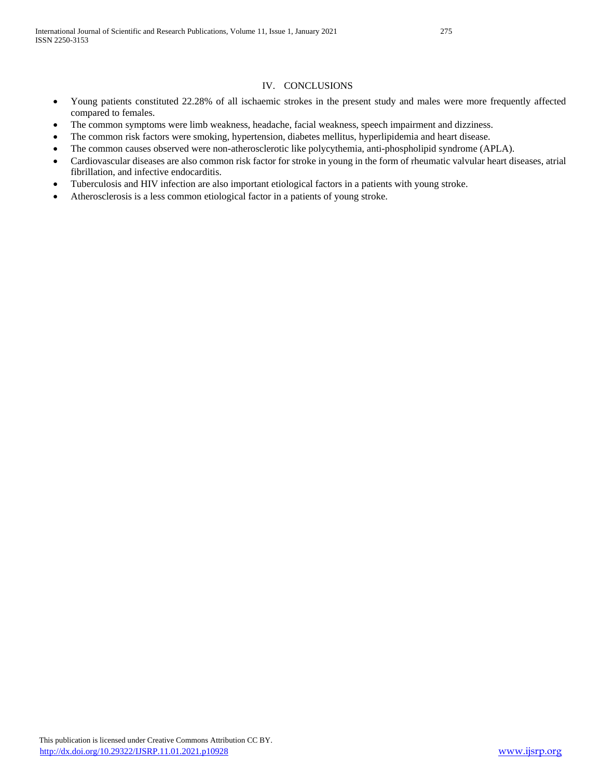#### IV. CONCLUSIONS

- Young patients constituted 22.28% of all ischaemic strokes in the present study and males were more frequently affected compared to females.
- The common symptoms were limb weakness, headache, facial weakness, speech impairment and dizziness.
- The common risk factors were smoking, hypertension, diabetes mellitus, hyperlipidemia and heart disease.
- The common causes observed were non-atherosclerotic like polycythemia, anti-phospholipid syndrome (APLA).
- Cardiovascular diseases are also common risk factor for stroke in young in the form of rheumatic valvular heart diseases, atrial fibrillation, and infective endocarditis.
- Tuberculosis and HIV infection are also important etiological factors in a patients with young stroke.
- Atherosclerosis is a less common etiological factor in a patients of young stroke.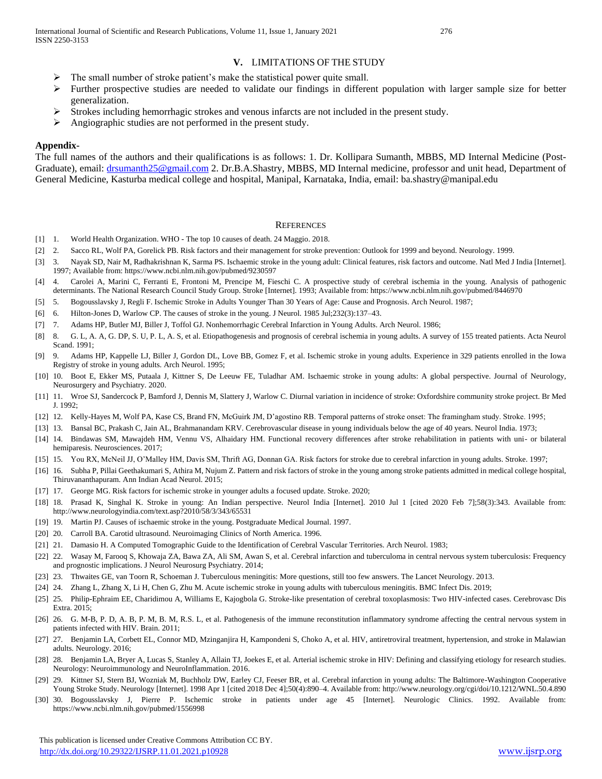- The small number of stroke patient's make the statistical power quite small.
- $\triangleright$  Further prospective studies are needed to validate our findings in different population with larger sample size for better generalization.
- Strokes including hemorrhagic strokes and venous infarcts are not included in the present study.
- $\triangleright$  Angiographic studies are not performed in the present study.

#### **Appendix-**

The full names of the authors and their qualifications is as follows: 1. Dr. Kollipara Sumanth, MBBS, MD Internal Medicine (PostGraduate), email: [drsumanth25@gmail.com](mailto:drsumanth25@gmail.com) 2. Dr.B.A.Shastry, MBBS, MD Internal medicine, professor and unit head, Department of General Medicine, Kasturba medical college and hospital, Manipal, Karnataka, India, email: ba.shastry@manipal.edu

#### **REFERENCES**

- [1] 1. World Health Organization. WHO The top 10 causes of death. 24 Maggio. 2018.
- [2] 2. Sacco RL, Wolf PA, Gorelick PB. Risk factors and their management for stroke prevention: Outlook for 1999 and beyond. Neurology. 1999.
- [3] 3. Nayak SD, Nair M, Radhakrishnan K, Sarma PS. Ischaemic stroke in the young adult: Clinical features, risk factors and outcome. Natl Med J India [Internet]. 1997; Available from: https://www.ncbi.nlm.nih.gov/pubmed/9230597
- [4] 4. Carolei A, Marini C, Ferranti E, Frontoni M, Prencipe M, Fieschi C. A prospective study of cerebral ischemia in the young. Analysis of pathogenic determinants. The National Research Council Study Group. Stroke [Internet]. 1993; Available from: https://www.ncbi.nlm.nih.gov/pubmed/8446970
- [5] 5. Bogousslavsky J, Regli F. Ischemic Stroke in Adults Younger Than 30 Years of Age: Cause and Prognosis. Arch Neurol. 1987;
- [6] 6. Hilton-Jones D, Warlow CP. The causes of stroke in the young. J Neurol. 1985 Jul;232(3):137–43.
- [7] 7. Adams HP, Butler MJ, Biller J, Toffol GJ. Nonhemorrhagic Cerebral Infarction in Young Adults. Arch Neurol. 1986;
- [8] 8. G. L, A. A, G. DP, S. U, P. L, A. S, et al. Etiopathogenesis and prognosis of cerebral ischemia in young adults. A survey of 155 treated patients. Acta Neurol Scand. 1991;
- [9] 9. Adams HP, Kappelle LJ, Biller J, Gordon DL, Love BB, Gomez F, et al. Ischemic stroke in young adults. Experience in 329 patients enrolled in the Iowa Registry of stroke in young adults. Arch Neurol. 1995;
- [10] 10. Boot E, Ekker MS, Putaala J, Kittner S, De Leeuw FE, Tuladhar AM. Ischaemic stroke in young adults: A global perspective. Journal of Neurology, Neurosurgery and Psychiatry. 2020.
- [11] 11. Wroe SJ, Sandercock P, Bamford J, Dennis M, Slattery J, Warlow C. Diurnal variation in incidence of stroke: Oxfordshire community stroke project. Br Med J. 1992;
- [12] 12. Kelly-Hayes M, Wolf PA, Kase CS, Brand FN, McGuirk JM, D'agostino RB. Temporal patterns of stroke onset: The framingham study. Stroke. 1995;
- [13] 13. Bansal BC, Prakash C, Jain AL, Brahmanandam KRV. Cerebrovascular disease in young individuals below the age of 40 years. Neurol India. 1973;
- [14] 14. Bindawas SM, Mawajdeh HM, Vennu VS, Alhaidary HM. Functional recovery differences after stroke rehabilitation in patients with uni- or bilateral hemiparesis. Neurosciences. 2017;
- [15] 15. You RX, McNeil JJ, O'Malley HM, Davis SM, Thrift AG, Donnan GA. Risk factors for stroke due to cerebral infarction in young adults. Stroke. 1997;
- [16] 16. Subha P, Pillai Geethakumari S, Athira M, Nujum Z. Pattern and risk factors of stroke in the young among stroke patients admitted in medical college hospital, Thiruvananthapuram. Ann Indian Acad Neurol. 2015;
- [17] 17. George MG. Risk factors for ischemic stroke in younger adults a focused update. Stroke. 2020;
- [18] 18. Prasad K, Singhal K. Stroke in young: An Indian perspective. Neurol India [Internet]. 2010 Jul 1 [cited 2020 Feb 7];58(3):343. Available from: http://www.neurologyindia.com/text.asp?2010/58/3/343/65531
- [19] 19. Martin PJ. Causes of ischaemic stroke in the young. Postgraduate Medical Journal. 1997.
- [20] 20. Carroll BA. Carotid ultrasound. Neuroimaging Clinics of North America. 1996.
- [21] 21. Damasio H. A Computed Tomographic Guide to the Identification of Cerebral Vascular Territories. Arch Neurol. 1983;
- [22] 22. Wasay M, Farooq S, Khowaja ZA, Bawa ZA, Ali SM, Awan S, et al. Cerebral infarction and tuberculoma in central nervous system tuberculosis: Frequency and prognostic implications. J Neurol Neurosurg Psychiatry. 2014;
- [23] 23. Thwaites GE, van Toorn R, Schoeman J. Tuberculous meningitis: More questions, still too few answers. The Lancet Neurology. 2013.
- [24] 24. Zhang L, Zhang X, Li H, Chen G, Zhu M. Acute ischemic stroke in young adults with tuberculous meningitis. BMC Infect Dis. 2019;
- [25] 25. Philip-Ephraim EE, Charidimou A, Williams E, Kajogbola G. Stroke-like presentation of cerebral toxoplasmosis: Two HIV-infected cases. Cerebrovasc Dis Extra. 2015;
- [26] 26. G. M-B, P. D, A. B, P. M, B. M, R.S. L, et al. Pathogenesis of the immune reconstitution inflammatory syndrome affecting the central nervous system in patients infected with HIV. Brain. 2011;
- [27] 27. Benjamin LA, Corbett EL, Connor MD, Mzinganjira H, Kampondeni S, Choko A, et al. HIV, antiretroviral treatment, hypertension, and stroke in Malawian adults. Neurology. 2016;
- [28] 28. Benjamin LA, Bryer A, Lucas S, Stanley A, Allain TJ, Joekes E, et al. Arterial ischemic stroke in HIV: Defining and classifying etiology for research studies. Neurology: Neuroimmunology and NeuroInflammation. 2016.
- [29] 29. Kittner SJ, Stern BJ, Wozniak M, Buchholz DW, Earley CJ, Feeser BR, et al. Cerebral infarction in young adults: The Baltimore-Washington Cooperative Young Stroke Study. Neurology [Internet]. 1998 Apr 1 [cited 2018 Dec 4];50(4):890–4. Available from: http://www.neurology.org/cgi/doi/10.1212/WNL.50.4.890
- [30] 30. Bogousslavsky J, Pierre P. Ischemic stroke in patients under age 45 [Internet]. Neurologic Clinics. 1992. Available from: https://www.ncbi.nlm.nih.gov/pubmed/1556998